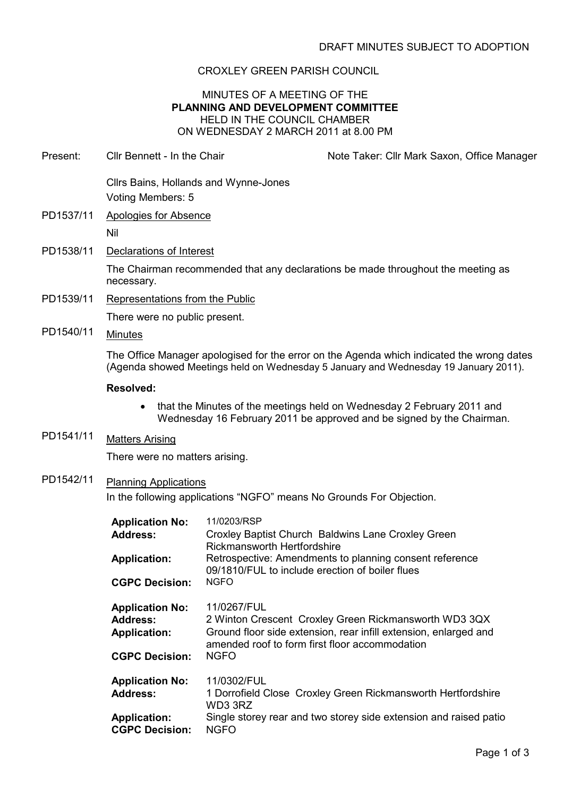### CROXLEY GREEN PARISH COUNCIL

#### MINUTES OF A MEETING OF THE PLANNING AND DEVELOPMENT COMMITTEE HELD IN THE COUNCIL CHAMBER ON WEDNESDAY 2 MARCH 2011 at 8.00 PM

| Present:  | Cllr Bennett - In the Chair                                                                          |                                                                | Note Taker: Cllr Mark Saxon, Office Manager                                                                                                                                      |
|-----------|------------------------------------------------------------------------------------------------------|----------------------------------------------------------------|----------------------------------------------------------------------------------------------------------------------------------------------------------------------------------|
|           | Cllrs Bains, Hollands and Wynne-Jones<br>Voting Members: 5                                           |                                                                |                                                                                                                                                                                  |
| PD1537/11 | Apologies for Absence<br>Nil                                                                         |                                                                |                                                                                                                                                                                  |
| PD1538/11 | Declarations of Interest                                                                             |                                                                |                                                                                                                                                                                  |
|           | necessary.                                                                                           |                                                                | The Chairman recommended that any declarations be made throughout the meeting as                                                                                                 |
| PD1539/11 | Representations from the Public                                                                      |                                                                |                                                                                                                                                                                  |
|           | There were no public present.                                                                        |                                                                |                                                                                                                                                                                  |
| PD1540/11 | <b>Minutes</b>                                                                                       |                                                                |                                                                                                                                                                                  |
|           |                                                                                                      |                                                                | The Office Manager apologised for the error on the Agenda which indicated the wrong dates<br>(Agenda showed Meetings held on Wednesday 5 January and Wednesday 19 January 2011). |
|           | <b>Resolved:</b>                                                                                     |                                                                |                                                                                                                                                                                  |
|           |                                                                                                      |                                                                | that the Minutes of the meetings held on Wednesday 2 February 2011 and<br>Wednesday 16 February 2011 be approved and be signed by the Chairman.                                  |
| PD1541/11 | <b>Matters Arising</b>                                                                               |                                                                |                                                                                                                                                                                  |
|           | There were no matters arising.                                                                       |                                                                |                                                                                                                                                                                  |
| PD1542/11 |                                                                                                      |                                                                |                                                                                                                                                                                  |
|           | <b>Planning Applications</b><br>In the following applications "NGFO" means No Grounds For Objection. |                                                                |                                                                                                                                                                                  |
|           | <b>Application No:</b>                                                                               | 11/0203/RSP                                                    |                                                                                                                                                                                  |
|           | <b>Address:</b>                                                                                      | <b>Rickmansworth Hertfordshire</b>                             | Croxley Baptist Church Baldwins Lane Croxley Green                                                                                                                               |
|           | <b>Application:</b>                                                                                  |                                                                | Retrospective: Amendments to planning consent reference                                                                                                                          |
|           | <b>CGPC Decision:</b>                                                                                | 09/1810/FUL to include erection of boiler flues<br><b>NGFO</b> |                                                                                                                                                                                  |
|           |                                                                                                      |                                                                |                                                                                                                                                                                  |
|           | <b>Application No:</b><br><b>Address:</b>                                                            | 11/0267/FUL                                                    |                                                                                                                                                                                  |
|           | <b>Application:</b>                                                                                  |                                                                | 2 Winton Crescent Croxley Green Rickmansworth WD3 3QX<br>Ground floor side extension, rear infill extension, enlarged and                                                        |
|           |                                                                                                      | amended roof to form first floor accommodation                 |                                                                                                                                                                                  |
|           | <b>CGPC Decision:</b>                                                                                | <b>NGFO</b>                                                    |                                                                                                                                                                                  |
|           | <b>Application No:</b>                                                                               | 11/0302/FUL                                                    |                                                                                                                                                                                  |
|           | <b>Address:</b>                                                                                      | WD3 3RZ                                                        | 1 Dorrofield Close Croxley Green Rickmansworth Hertfordshire                                                                                                                     |
|           | <b>Application:</b>                                                                                  |                                                                | Single storey rear and two storey side extension and raised patio                                                                                                                |

CGPC Decision: NGFO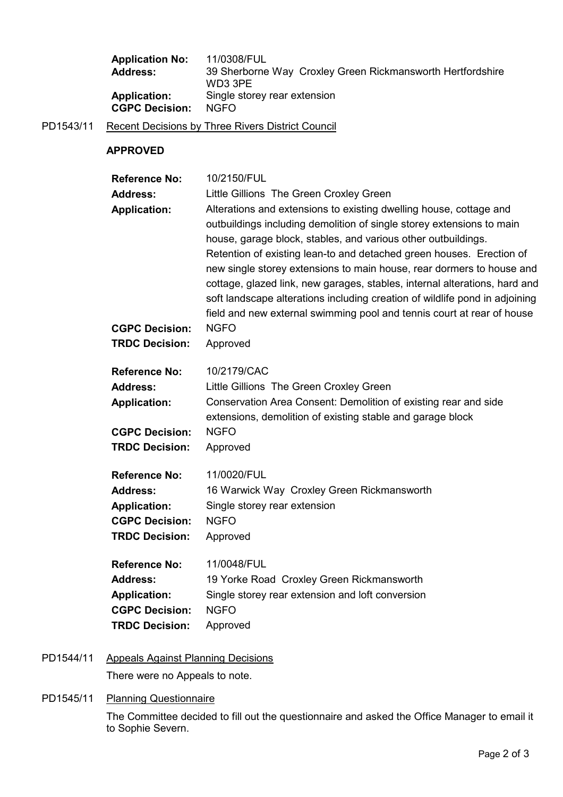| <b>Application No:</b> | 11/0308/FUL                                                |
|------------------------|------------------------------------------------------------|
| <b>Address:</b>        | 39 Sherborne Way Croxley Green Rickmansworth Hertfordshire |
|                        | WD3 3PE                                                    |
| <b>Application:</b>    | Single storey rear extension                               |
| <b>CGPC Decision:</b>  | NGFO.                                                      |

PD1543/11 Recent Decisions by Three Rivers District Council

# APPROVED

| <b>Reference No:</b>                                                                                             | 10/2150/FUL                                                                                                                                                                                                                                                                                                                                                                                                                                                                                                                                                                                          |
|------------------------------------------------------------------------------------------------------------------|------------------------------------------------------------------------------------------------------------------------------------------------------------------------------------------------------------------------------------------------------------------------------------------------------------------------------------------------------------------------------------------------------------------------------------------------------------------------------------------------------------------------------------------------------------------------------------------------------|
| <b>Address:</b>                                                                                                  | Little Gillions The Green Croxley Green                                                                                                                                                                                                                                                                                                                                                                                                                                                                                                                                                              |
| <b>Application:</b>                                                                                              | Alterations and extensions to existing dwelling house, cottage and<br>outbuildings including demolition of single storey extensions to main<br>house, garage block, stables, and various other outbuildings.<br>Retention of existing lean-to and detached green houses. Erection of<br>new single storey extensions to main house, rear dormers to house and<br>cottage, glazed link, new garages, stables, internal alterations, hard and<br>soft landscape alterations including creation of wildlife pond in adjoining<br>field and new external swimming pool and tennis court at rear of house |
| <b>CGPC Decision:</b>                                                                                            | <b>NGFO</b>                                                                                                                                                                                                                                                                                                                                                                                                                                                                                                                                                                                          |
| <b>TRDC Decision:</b>                                                                                            | Approved                                                                                                                                                                                                                                                                                                                                                                                                                                                                                                                                                                                             |
| <b>Reference No:</b><br><b>Address:</b><br><b>Application:</b><br><b>CGPC Decision:</b>                          | 10/2179/CAC<br>Little Gillions The Green Croxley Green<br>Conservation Area Consent: Demolition of existing rear and side<br>extensions, demolition of existing stable and garage block<br><b>NGFO</b>                                                                                                                                                                                                                                                                                                                                                                                               |
| <b>TRDC Decision:</b>                                                                                            | Approved                                                                                                                                                                                                                                                                                                                                                                                                                                                                                                                                                                                             |
| <b>Reference No:</b><br><b>Address:</b><br><b>Application:</b><br><b>CGPC Decision:</b><br><b>TRDC Decision:</b> | 11/0020/FUL<br>16 Warwick Way Croxley Green Rickmansworth<br>Single storey rear extension<br><b>NGFO</b><br>Approved                                                                                                                                                                                                                                                                                                                                                                                                                                                                                 |
| <b>Reference No:</b><br><b>Address:</b><br><b>Application:</b><br><b>CGPC Decision:</b><br><b>TRDC Decision:</b> | 11/0048/FUL<br>19 Yorke Road Croxley Green Rickmansworth<br>Single storey rear extension and loft conversion<br><b>NGFO</b><br>Approved                                                                                                                                                                                                                                                                                                                                                                                                                                                              |

## PD1544/11 Appeals Against Planning Decisions

There were no Appeals to note.

#### PD1545/11 Planning Questionnaire

The Committee decided to fill out the questionnaire and asked the Office Manager to email it to Sophie Severn.